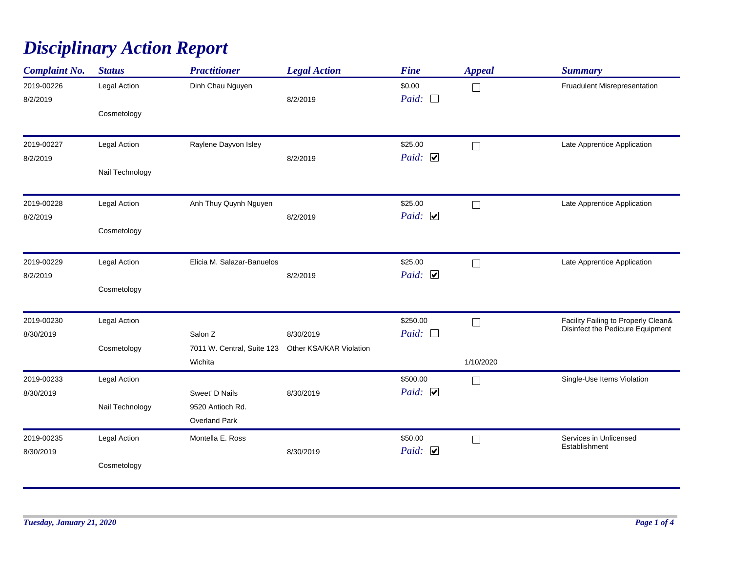## *Disciplinary Action Report*

| <b>Complaint No.</b>   | <b>Status</b>   | <b>Practitioner</b>                                           | <b>Legal Action</b> | <b>Fine</b>               | <b>Appeal</b> | <b>Summary</b>                                                          |
|------------------------|-----------------|---------------------------------------------------------------|---------------------|---------------------------|---------------|-------------------------------------------------------------------------|
| 2019-00226<br>8/2/2019 | Legal Action    | Dinh Chau Nguyen                                              | 8/2/2019            | \$0.00<br>Paid:<br>$\Box$ | $\Box$        | Fruadulent Misrepresentation                                            |
|                        | Cosmetology     |                                                               |                     |                           |               |                                                                         |
| 2019-00227             | Legal Action    | Raylene Dayvon Isley                                          |                     | \$25.00                   | П             | Late Apprentice Application                                             |
| 8/2/2019               | Nail Technology |                                                               | 8/2/2019            | Paid: $\Box$              |               |                                                                         |
| 2019-00228             | Legal Action    | Anh Thuy Quynh Nguyen                                         |                     | \$25.00                   | П             | Late Apprentice Application                                             |
| 8/2/2019               | Cosmetology     |                                                               | 8/2/2019            | Paid: $\Box$              |               |                                                                         |
| 2019-00229             | Legal Action    | Elicia M. Salazar-Banuelos                                    |                     | \$25.00                   | $\Box$        | Late Apprentice Application                                             |
| 8/2/2019               | Cosmetology     |                                                               | 8/2/2019            | Paid: $\Box$              |               |                                                                         |
| 2019-00230             | Legal Action    |                                                               |                     | \$250.00                  | $\Box$        | Facility Failing to Properly Clean&<br>Disinfect the Pedicure Equipment |
| 8/30/2019              |                 | Salon Z                                                       | 8/30/2019           | Paid:                     |               |                                                                         |
|                        | Cosmetology     | 7011 W. Central, Suite 123 Other KSA/KAR Violation<br>Wichita |                     |                           | 1/10/2020     |                                                                         |
| 2019-00233             | Legal Action    |                                                               |                     | \$500.00                  | Г             | Single-Use Items Violation                                              |
| 8/30/2019              |                 | Sweet' D Nails                                                | 8/30/2019           | Paid: $\Box$              |               |                                                                         |
|                        | Nail Technology | 9520 Antioch Rd.<br>Overland Park                             |                     |                           |               |                                                                         |
| 2019-00235             | Legal Action    | Montella E. Ross                                              |                     | \$50.00                   | П             | Services in Unlicensed<br>Establishment                                 |
| 8/30/2019              | Cosmetology     |                                                               | 8/30/2019           | Paid: $\Box$              |               |                                                                         |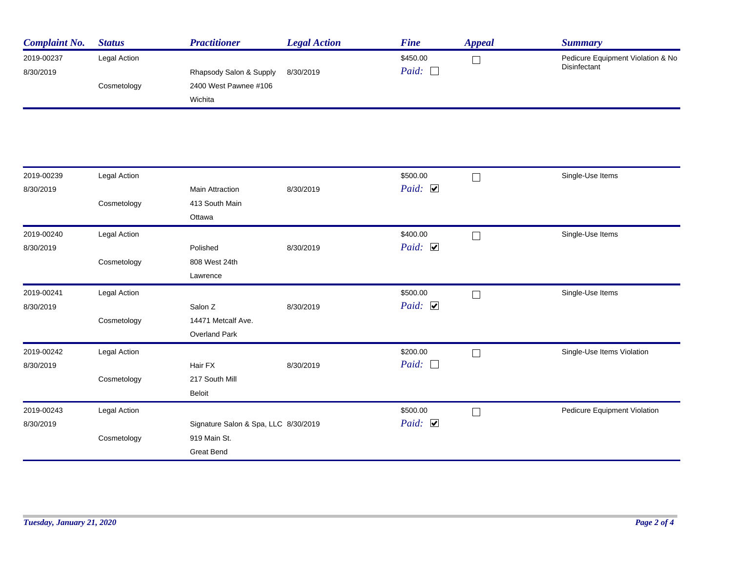| <b>Complaint No.</b> | <b>Status</b> | Practitioner            | <b>Legal Action</b> | <b>Fine</b> | Appeal | Summary                           |
|----------------------|---------------|-------------------------|---------------------|-------------|--------|-----------------------------------|
| 2019-00237           | Legal Action  |                         |                     | \$450.00    |        | Pedicure Equipment Violation & No |
| 8/30/2019            |               | Rhapsody Salon & Supply | 8/30/2019           | Paid:       |        | Disinfectant                      |
|                      | Cosmetology   | 2400 West Pawnee #106   |                     |             |        |                                   |
|                      |               | Wichita                 |                     |             |        |                                   |

| 2019-00239 | Legal Action |                                      |           | \$500.00              |        | Single-Use Items             |
|------------|--------------|--------------------------------------|-----------|-----------------------|--------|------------------------------|
| 8/30/2019  |              | <b>Main Attraction</b>               | 8/30/2019 | Paid: $\triangledown$ |        |                              |
|            | Cosmetology  | 413 South Main                       |           |                       |        |                              |
|            |              | Ottawa                               |           |                       |        |                              |
| 2019-00240 | Legal Action |                                      |           | \$400.00              |        | Single-Use Items             |
| 8/30/2019  |              | Polished                             | 8/30/2019 | Paid: $\Box$          |        |                              |
|            | Cosmetology  | 808 West 24th                        |           |                       |        |                              |
|            |              | Lawrence                             |           |                       |        |                              |
| 2019-00241 | Legal Action |                                      |           | \$500.00              | $\Box$ | Single-Use Items             |
| 8/30/2019  |              | Salon Z                              | 8/30/2019 | Paid: $\triangledown$ |        |                              |
|            | Cosmetology  | 14471 Metcalf Ave.                   |           |                       |        |                              |
|            |              | <b>Overland Park</b>                 |           |                       |        |                              |
| 2019-00242 | Legal Action |                                      |           | \$200.00              |        | Single-Use Items Violation   |
| 8/30/2019  |              | Hair FX                              | 8/30/2019 | Paid: $\Box$          |        |                              |
|            | Cosmetology  | 217 South Mill                       |           |                       |        |                              |
|            |              | Beloit                               |           |                       |        |                              |
| 2019-00243 | Legal Action |                                      |           | \$500.00              | П      | Pedicure Equipment Violation |
| 8/30/2019  |              | Signature Salon & Spa, LLC 8/30/2019 |           | Paid: $\Box$          |        |                              |
|            | Cosmetology  | 919 Main St.                         |           |                       |        |                              |
|            |              | <b>Great Bend</b>                    |           |                       |        |                              |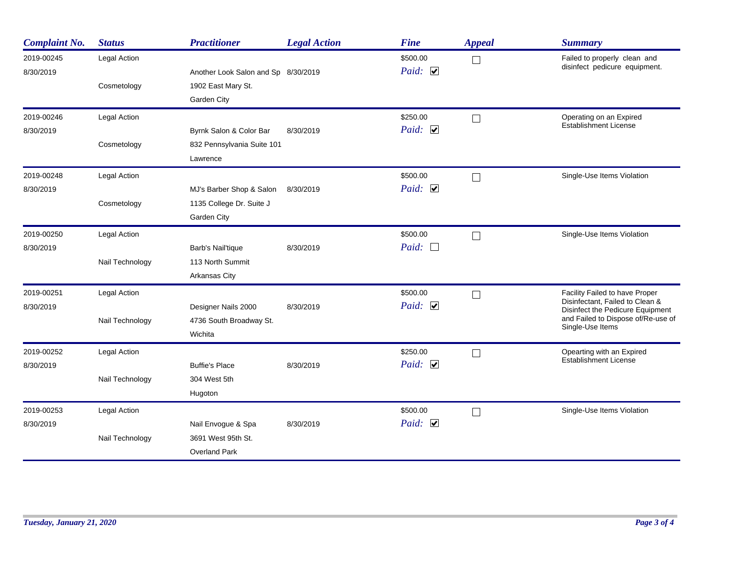| <b>Complaint No.</b>    | <b>Status</b>   | <b>Practitioner</b>                 | <b>Legal Action</b> | <b>Fine</b>              | <b>Appeal</b>     | <b>Summary</b>                                                      |
|-------------------------|-----------------|-------------------------------------|---------------------|--------------------------|-------------------|---------------------------------------------------------------------|
| 2019-00245<br>8/30/2019 | Legal Action    | Another Look Salon and Sp 8/30/2019 |                     | \$500.00<br>Paid: $\Box$ | $\vert \ \ \vert$ | Failed to properly clean and<br>disinfect pedicure equipment.       |
|                         | Cosmetology     | 1902 East Mary St.<br>Garden City   |                     |                          |                   |                                                                     |
| 2019-00246              | Legal Action    |                                     |                     | \$250.00                 | $\vert \ \ \vert$ | Operating on an Expired                                             |
| 8/30/2019               |                 | Byrnk Salon & Color Bar             | 8/30/2019           | Paid: $\Box$             |                   | <b>Establishment License</b>                                        |
|                         | Cosmetology     | 832 Pennsylvania Suite 101          |                     |                          |                   |                                                                     |
|                         |                 | Lawrence                            |                     |                          |                   |                                                                     |
| 2019-00248              | Legal Action    |                                     |                     | \$500.00                 | $\Box$            | Single-Use Items Violation                                          |
| 8/30/2019               |                 | MJ's Barber Shop & Salon            | 8/30/2019           | Paid: $\Box$             |                   |                                                                     |
|                         | Cosmetology     | 1135 College Dr. Suite J            |                     |                          |                   |                                                                     |
|                         |                 | Garden City                         |                     |                          |                   |                                                                     |
| 2019-00250              | Legal Action    |                                     |                     | \$500.00                 | $\Box$            | Single-Use Items Violation                                          |
| 8/30/2019               |                 | Barb's Nail'tique                   | 8/30/2019           | Paid: $\Box$             |                   |                                                                     |
|                         | Nail Technology | 113 North Summit                    |                     |                          |                   |                                                                     |
|                         |                 | Arkansas City                       |                     |                          |                   |                                                                     |
| 2019-00251              | Legal Action    |                                     |                     | \$500.00                 | П                 | Facility Failed to have Proper                                      |
| 8/30/2019               |                 | Designer Nails 2000                 | 8/30/2019           | Paid: $\Box$             |                   | Disinfectant, Failed to Clean &<br>Disinfect the Pedicure Equipment |
|                         | Nail Technology | 4736 South Broadway St.             |                     |                          |                   | and Failed to Dispose of/Re-use of<br>Single-Use Items              |
|                         |                 | Wichita                             |                     |                          |                   |                                                                     |
| 2019-00252              | Legal Action    |                                     |                     | \$250.00                 | $\Box$            | Opearting with an Expired                                           |
| 8/30/2019               |                 | <b>Buffie's Place</b>               | 8/30/2019           | Paid: $\Box$             |                   | <b>Establishment License</b>                                        |
|                         | Nail Technology | 304 West 5th                        |                     |                          |                   |                                                                     |
|                         |                 | Hugoton                             |                     |                          |                   |                                                                     |
| 2019-00253              | Legal Action    |                                     |                     | \$500.00                 | П                 | Single-Use Items Violation                                          |
| 8/30/2019               |                 | Nail Envogue & Spa                  | 8/30/2019           | Paid: $\Box$             |                   |                                                                     |
|                         | Nail Technology | 3691 West 95th St.                  |                     |                          |                   |                                                                     |
|                         |                 | <b>Overland Park</b>                |                     |                          |                   |                                                                     |